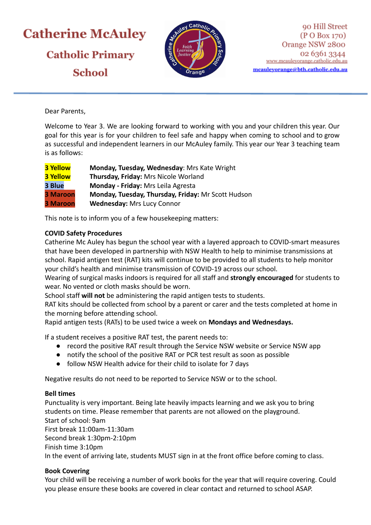# **Catherine McAuley Catholic Primary School**



Dear Parents,

Welcome to Year 3. We are looking forward to working with you and your children this year. Our goal for this year is for your children to feel safe and happy when coming to school and to grow as successful and independent learners in our McAuley family. This year our Year 3 teaching team is as follows:

| <b>3 Yellow</b> | Monday, Tuesday, Wednesday: Mrs Kate Wright        |
|-----------------|----------------------------------------------------|
| <b>3 Yellow</b> | Thursday, Friday: Mrs Nicole Worland               |
| 3 Blue          | Monday - Friday: Mrs Leila Agresta                 |
| <b>3 Maroon</b> | Monday, Tuesday, Thursday, Friday: Mr Scott Hudson |
| <b>3 Maroon</b> | <b>Wednesday: Mrs Lucy Connor</b>                  |

This note is to inform you of a few housekeeping matters:

# **COVID Safety Procedures**

Catherine Mc Auley has begun the school year with a layered approach to COVID-smart measures that have been developed in partnership with NSW Health to help to minimise transmissions at school. Rapid antigen test (RAT) kits will continue to be provided to all students to help monitor your child's health and minimise transmission of COVID-19 across our school.

Wearing of surgical masks indoors is required for all staff and **strongly encouraged** for students to wear. No vented or cloth masks should be worn.

School staff **will not** be administering the rapid antigen tests to students.

RAT kits should be collected from school by a parent or carer and the tests completed at home in the morning before attending school.

Rapid antigen tests (RATs) to be used twice a week on **Mondays and Wednesdays.**

If a student receives a positive RAT test, the parent needs to:

- record the positive RAT result through the Service NSW website or Service NSW app
- notify the school of the positive RAT or PCR test result as soon as possible
- follow NSW Health advice for their child to isolate for 7 days

Negative results do not need to be reported to Service NSW or to the school.

# **Bell times**

Punctuality is very important. Being late heavily impacts learning and we ask you to bring students on time. Please remember that parents are not allowed on the playground. Start of school: 9am First break 11:00am-11:30am Second break 1:30pm-2:10pm Finish time 3:10pm In the event of arriving late, students MUST sign in at the front office before coming to class.

# **Book Covering**

Your child will be receiving a number of work books for the year that will require covering. Could you please ensure these books are covered in clear contact and returned to school ASAP.